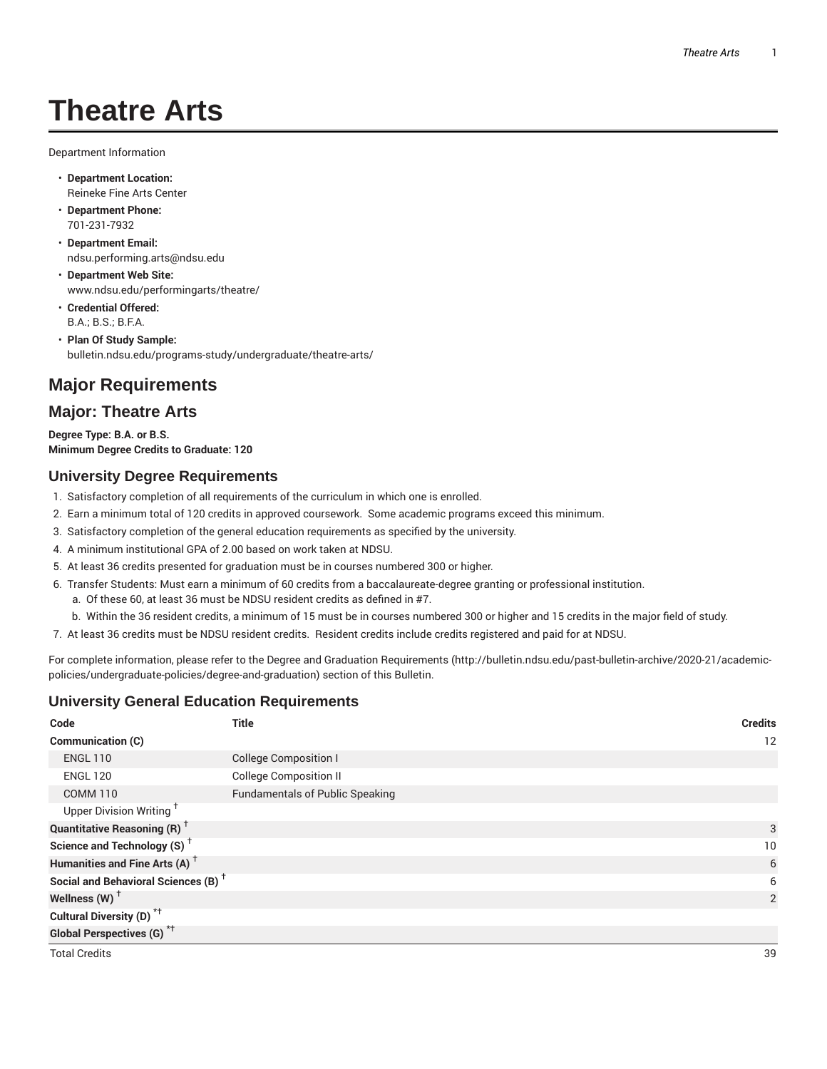# **Theatre Arts**

Department Information

- **Department Location:** Reineke Fine Arts Center
- **Department Phone:** 701-231-7932
- **Department Email:** ndsu.performing.arts@ndsu.edu
- **Department Web Site:** www.ndsu.edu/performingarts/theatre/
- **Credential Offered:** B.A.; B.S.; B.F.A.
- **Plan Of Study Sample:** bulletin.ndsu.edu/programs-study/undergraduate/theatre-arts/

# **Major Requirements**

# **Major: Theatre Arts**

**Degree Type: B.A. or B.S. Minimum Degree Credits to Graduate: 120**

### **University Degree Requirements**

- 1. Satisfactory completion of all requirements of the curriculum in which one is enrolled.
- 2. Earn a minimum total of 120 credits in approved coursework. Some academic programs exceed this minimum.
- 3. Satisfactory completion of the general education requirements as specified by the university.
- 4. A minimum institutional GPA of 2.00 based on work taken at NDSU.
- 5. At least 36 credits presented for graduation must be in courses numbered 300 or higher.
- 6. Transfer Students: Must earn a minimum of 60 credits from a baccalaureate-degree granting or professional institution.
	- a. Of these 60, at least 36 must be NDSU resident credits as defined in #7.
	- b. Within the 36 resident credits, a minimum of 15 must be in courses numbered 300 or higher and 15 credits in the major field of study.
- 7. At least 36 credits must be NDSU resident credits. Resident credits include credits registered and paid for at NDSU.

For complete information, please refer to the Degree and Graduation Requirements (http://bulletin.ndsu.edu/past-bulletin-archive/2020-21/academicpolicies/undergraduate-policies/degree-and-graduation) section of this Bulletin.

## **University General Education Requirements**

| Code                                            | <b>Title</b>                           | <b>Credits</b> |
|-------------------------------------------------|----------------------------------------|----------------|
| Communication (C)                               |                                        | 12             |
| <b>ENGL 110</b>                                 | <b>College Composition I</b>           |                |
| <b>ENGL 120</b>                                 | <b>College Composition II</b>          |                |
| <b>COMM 110</b>                                 | <b>Fundamentals of Public Speaking</b> |                |
| Upper Division Writing <sup>+</sup>             |                                        |                |
| <b>Quantitative Reasoning (R)</b> <sup>+</sup>  |                                        | 3              |
| Science and Technology (S) <sup>+</sup>         |                                        | 10             |
| Humanities and Fine Arts (A) <sup>+</sup>       |                                        | 6              |
| Social and Behavioral Sciences (B) <sup>+</sup> |                                        | 6              |
| Wellness $(W)$ <sup>+</sup>                     |                                        | $\overline{2}$ |
| Cultural Diversity (D) <sup>*†</sup>            |                                        |                |
| <b>Global Perspectives (G)</b> <sup>*†</sup>    |                                        |                |
| <b>Total Credits</b>                            |                                        | 39             |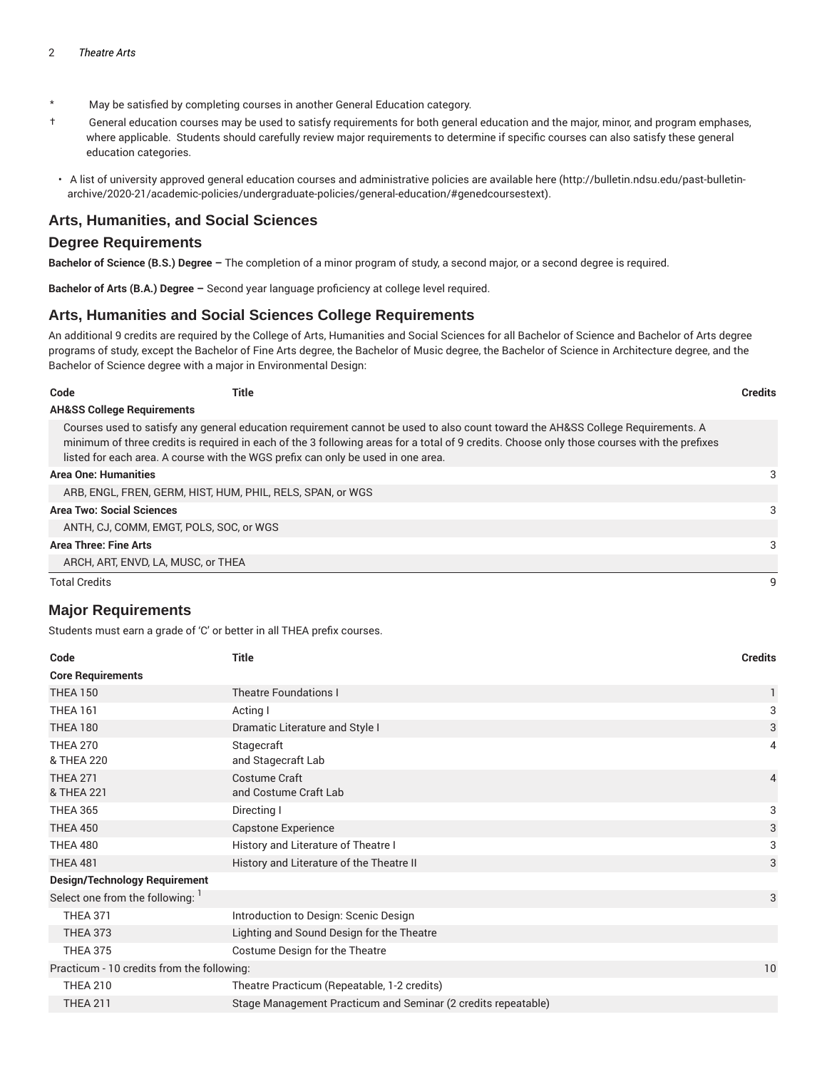- \* May be satisfied by completing courses in another General Education category.
- † General education courses may be used to satisfy requirements for both general education and the major, minor, and program emphases, where applicable. Students should carefully review major requirements to determine if specific courses can also satisfy these general education categories.
- A list of university approved general education courses and administrative policies are available here (http://bulletin.ndsu.edu/past-bulletinarchive/2020-21/academic-policies/undergraduate-policies/general-education/#genedcoursestext).

#### **Arts, Humanities, and Social Sciences**

#### **Degree Requirements**

**Bachelor of Science (B.S.) Degree –** The completion of a minor program of study, a second major, or a second degree is required.

**Bachelor of Arts (B.A.) Degree –** Second year language proficiency at college level required.

#### **Arts, Humanities and Social Sciences College Requirements**

An additional 9 credits are required by the College of Arts, Humanities and Social Sciences for all Bachelor of Science and Bachelor of Arts degree programs of study, except the Bachelor of Fine Arts degree, the Bachelor of Music degree, the Bachelor of Science in Architecture degree, and the Bachelor of Science degree with a major in Environmental Design:

| Code                 | Title                                                                                                                                                                                                                                                                                                                                                              | <b>Credits</b> |
|----------------------|--------------------------------------------------------------------------------------------------------------------------------------------------------------------------------------------------------------------------------------------------------------------------------------------------------------------------------------------------------------------|----------------|
|                      | <b>AH&amp;SS College Requirements</b>                                                                                                                                                                                                                                                                                                                              |                |
|                      | Courses used to satisfy any general education requirement cannot be used to also count toward the AH&SS College Requirements. A<br>minimum of three credits is required in each of the 3 following areas for a total of 9 credits. Choose only those courses with the prefixes<br>listed for each area. A course with the WGS prefix can only be used in one area. |                |
|                      | <b>Area One: Humanities</b>                                                                                                                                                                                                                                                                                                                                        | 3              |
|                      | ARB, ENGL, FREN, GERM, HIST, HUM, PHIL, RELS, SPAN, or WGS                                                                                                                                                                                                                                                                                                         |                |
|                      | <b>Area Two: Social Sciences</b>                                                                                                                                                                                                                                                                                                                                   | 3              |
|                      | ANTH, CJ, COMM, EMGT, POLS, SOC, or WGS                                                                                                                                                                                                                                                                                                                            |                |
|                      | Area Three: Fine Arts                                                                                                                                                                                                                                                                                                                                              | 3              |
|                      | ARCH, ART, ENVD, LA, MUSC, or THEA                                                                                                                                                                                                                                                                                                                                 |                |
| <b>Total Credits</b> |                                                                                                                                                                                                                                                                                                                                                                    | 9              |

#### **Major Requirements**

Students must earn a grade of 'C' or better in all THEA prefix courses.

| Code                                       | <b>Title</b>                                                  | <b>Credits</b> |
|--------------------------------------------|---------------------------------------------------------------|----------------|
| <b>Core Requirements</b>                   |                                                               |                |
| <b>THEA 150</b>                            | <b>Theatre Foundations I</b>                                  | $\mathbf{1}$   |
| <b>THEA 161</b>                            | Acting I                                                      | 3              |
| <b>THEA 180</b>                            | Dramatic Literature and Style I                               | 3              |
| <b>THEA 270</b><br>& THEA 220              | Stagecraft<br>and Stagecraft Lab                              | 4              |
| <b>THEA 271</b><br>& THEA 221              | Costume Craft<br>and Costume Craft Lab                        | $\overline{4}$ |
| <b>THEA 365</b>                            | Directing I                                                   | 3              |
| <b>THEA 450</b>                            | <b>Capstone Experience</b>                                    | 3              |
| <b>THEA 480</b>                            | History and Literature of Theatre I                           | 3              |
| <b>THEA 481</b>                            | History and Literature of the Theatre II                      | 3              |
| <b>Design/Technology Requirement</b>       |                                                               |                |
| Select one from the following: 1           |                                                               | 3              |
| <b>THEA 371</b>                            | Introduction to Design: Scenic Design                         |                |
| <b>THEA 373</b>                            | Lighting and Sound Design for the Theatre                     |                |
| <b>THEA 375</b>                            | Costume Design for the Theatre                                |                |
| Practicum - 10 credits from the following: |                                                               | 10             |
| <b>THEA 210</b>                            | Theatre Practicum (Repeatable, 1-2 credits)                   |                |
| <b>THEA 211</b>                            | Stage Management Practicum and Seminar (2 credits repeatable) |                |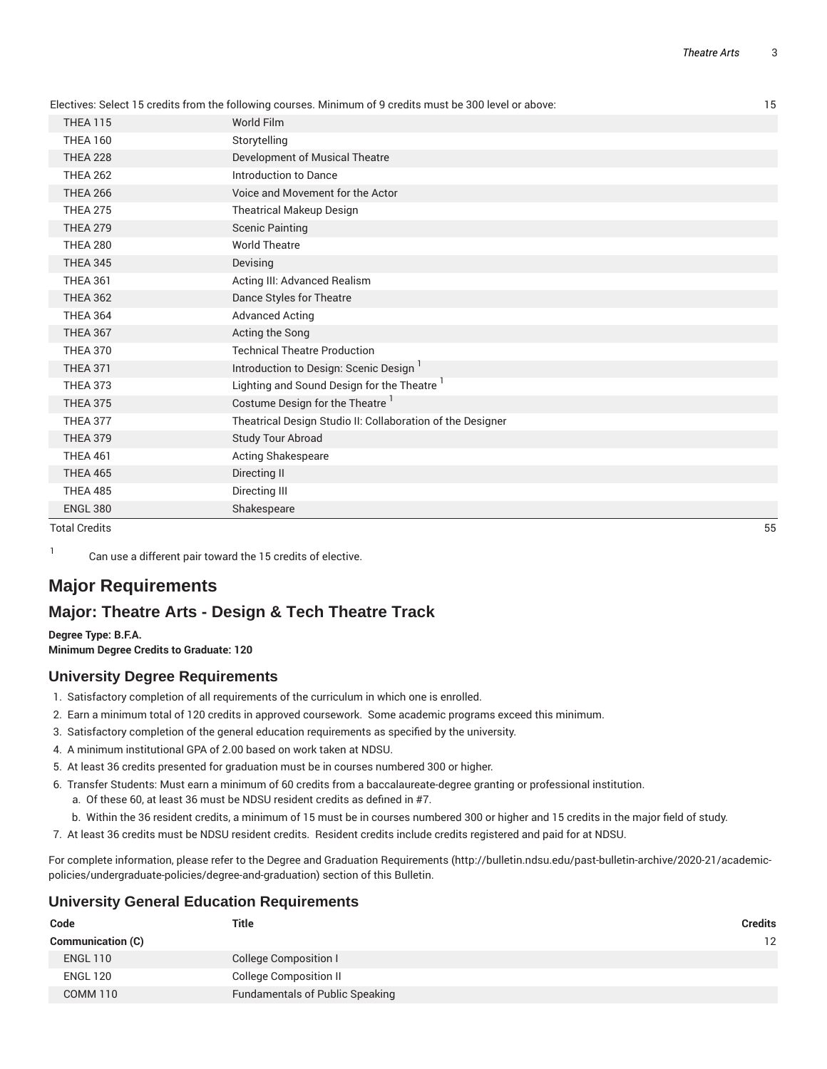|                 | Electives: Select 15 credits from the following courses. Minimum of 9 credits must be 300 level or above: | 15 |
|-----------------|-----------------------------------------------------------------------------------------------------------|----|
| <b>THEA 115</b> | World Film                                                                                                |    |
| <b>THEA 160</b> | Storytelling                                                                                              |    |
| <b>THEA 228</b> | Development of Musical Theatre                                                                            |    |
| <b>THEA 262</b> | Introduction to Dance                                                                                     |    |
| <b>THEA 266</b> | Voice and Movement for the Actor                                                                          |    |
| <b>THEA 275</b> | <b>Theatrical Makeup Design</b>                                                                           |    |
| <b>THEA 279</b> | <b>Scenic Painting</b>                                                                                    |    |
| <b>THEA 280</b> | <b>World Theatre</b>                                                                                      |    |
| <b>THEA 345</b> | Devising                                                                                                  |    |
| <b>THEA 361</b> | Acting III: Advanced Realism                                                                              |    |
| <b>THEA 362</b> | Dance Styles for Theatre                                                                                  |    |
| <b>THEA 364</b> | <b>Advanced Acting</b>                                                                                    |    |
| <b>THEA 367</b> | Acting the Song                                                                                           |    |
| <b>THEA 370</b> | <b>Technical Theatre Production</b>                                                                       |    |
| <b>THEA 371</b> | Introduction to Design: Scenic Design 1                                                                   |    |
| <b>THEA 373</b> | Lighting and Sound Design for the Theatre                                                                 |    |
| <b>THEA 375</b> | Costume Design for the Theatre <sup>1</sup>                                                               |    |
| <b>THEA 377</b> | Theatrical Design Studio II: Collaboration of the Designer                                                |    |
| <b>THEA 379</b> | Study Tour Abroad                                                                                         |    |
| <b>THEA 461</b> | Acting Shakespeare                                                                                        |    |
| <b>THEA 465</b> | Directing II                                                                                              |    |
| <b>THEA 485</b> | Directing III                                                                                             |    |
| <b>ENGL 380</b> | Shakespeare                                                                                               |    |

Total Credits 55

1

Can use a different pair toward the 15 credits of elective.

# **Major Requirements**

# **Major: Theatre Arts - Design & Tech Theatre Track**

**Degree Type: B.F.A. Minimum Degree Credits to Graduate: 120**

## **University Degree Requirements**

- 1. Satisfactory completion of all requirements of the curriculum in which one is enrolled.
- 2. Earn a minimum total of 120 credits in approved coursework. Some academic programs exceed this minimum.
- 3. Satisfactory completion of the general education requirements as specified by the university.
- 4. A minimum institutional GPA of 2.00 based on work taken at NDSU.
- 5. At least 36 credits presented for graduation must be in courses numbered 300 or higher.
- 6. Transfer Students: Must earn a minimum of 60 credits from a baccalaureate-degree granting or professional institution. a. Of these 60, at least 36 must be NDSU resident credits as defined in #7.
	-
	- b. Within the 36 resident credits, a minimum of 15 must be in courses numbered 300 or higher and 15 credits in the major field of study.
- 7. At least 36 credits must be NDSU resident credits. Resident credits include credits registered and paid for at NDSU.

For complete information, please refer to the Degree and Graduation Requirements (http://bulletin.ndsu.edu/past-bulletin-archive/2020-21/academicpolicies/undergraduate-policies/degree-and-graduation) section of this Bulletin.

#### **University General Education Requirements**

| Code                     | <b>Title</b>                           | <b>Credits</b> |
|--------------------------|----------------------------------------|----------------|
| <b>Communication (C)</b> |                                        | 12             |
| <b>ENGL 110</b>          | <b>College Composition I</b>           |                |
| <b>ENGL 120</b>          | <b>College Composition II</b>          |                |
| COMM 110                 | <b>Fundamentals of Public Speaking</b> |                |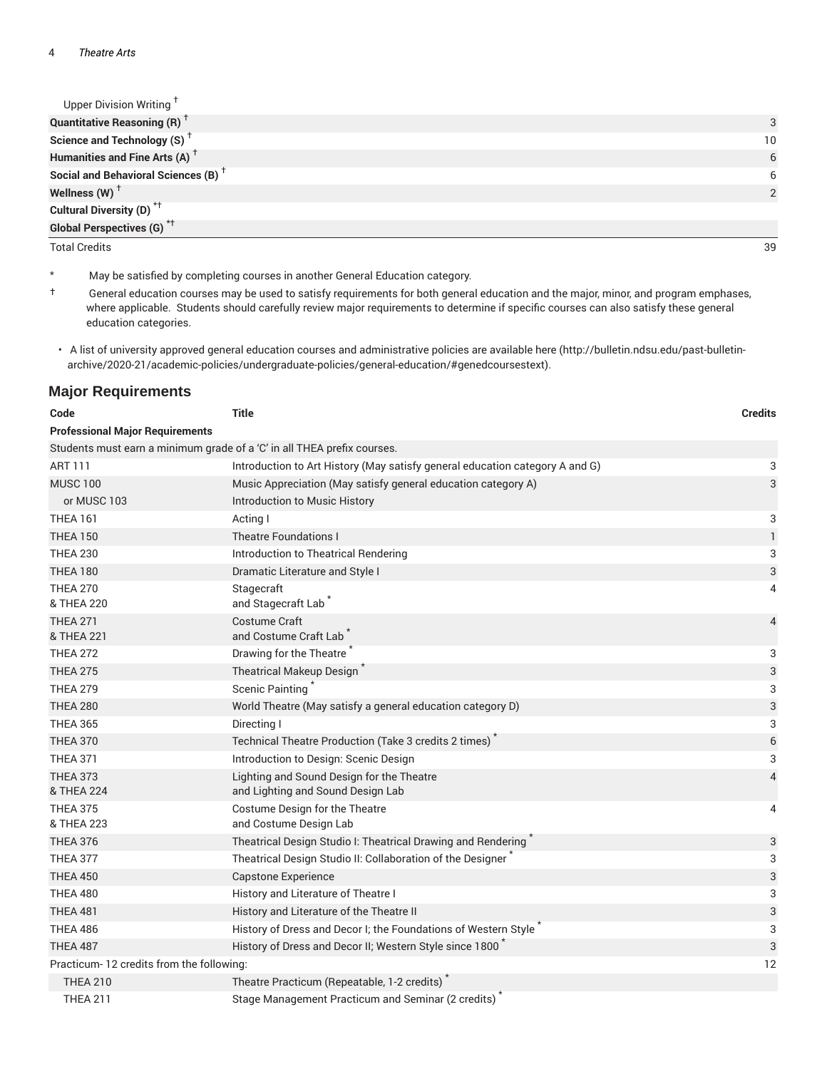| Upper Division Writing <sup>+</sup>             |    |
|-------------------------------------------------|----|
| <b>Quantitative Reasoning (R)</b> <sup>†</sup>  | 3  |
| Science and Technology (S) <sup>+</sup>         | 10 |
| Humanities and Fine Arts (A) <sup>+</sup>       | 6  |
| Social and Behavioral Sciences (B) <sup>+</sup> | 6  |
| Wellness $(W)$ <sup>+</sup>                     |    |
| Cultural Diversity (D) <sup>*†</sup>            |    |
| <b>Global Perspectives (G)</b> <sup>*†</sup>    |    |

Total Credits 39

\* May be satisfied by completing courses in another General Education category.

† General education courses may be used to satisfy requirements for both general education and the major, minor, and program emphases, where applicable. Students should carefully review major requirements to determine if specific courses can also satisfy these general education categories.

• A list of university approved general education courses and administrative policies are available here (http://bulletin.ndsu.edu/past-bulletinarchive/2020-21/academic-policies/undergraduate-policies/general-education/#genedcoursestext).

#### **Major Requirements**

| Code                                                                    | <b>Title</b>                                                                   | <b>Credits</b> |
|-------------------------------------------------------------------------|--------------------------------------------------------------------------------|----------------|
| <b>Professional Major Requirements</b>                                  |                                                                                |                |
| Students must earn a minimum grade of a 'C' in all THEA prefix courses. |                                                                                |                |
| <b>ART 111</b>                                                          | Introduction to Art History (May satisfy general education category A and G)   | 3              |
| <b>MUSC 100</b>                                                         | Music Appreciation (May satisfy general education category A)                  | 3              |
| or MUSC 103                                                             | Introduction to Music History                                                  |                |
| <b>THEA 161</b>                                                         | Acting I                                                                       | 3              |
| <b>THEA 150</b>                                                         | <b>Theatre Foundations I</b>                                                   | $\mathbf{1}$   |
| <b>THEA 230</b>                                                         | Introduction to Theatrical Rendering                                           | 3              |
| <b>THEA 180</b>                                                         | Dramatic Literature and Style I                                                | 3              |
| <b>THEA 270</b><br>& THEA 220                                           | Stagecraft<br>and Stagecraft Lab                                               | 4              |
| <b>THEA 271</b>                                                         | Costume Craft                                                                  | 4              |
| & THEA 221                                                              | and Costume Craft Lab                                                          |                |
| <b>THEA 272</b>                                                         | Drawing for the Theatre                                                        | 3              |
| <b>THEA 275</b>                                                         | Theatrical Makeup Design                                                       | 3              |
| <b>THEA 279</b>                                                         | Scenic Painting                                                                | 3              |
| <b>THEA 280</b>                                                         | World Theatre (May satisfy a general education category D)                     | 3              |
| <b>THEA 365</b>                                                         | Directing I                                                                    | 3              |
| <b>THEA 370</b>                                                         | Technical Theatre Production (Take 3 credits 2 times)                          | 6              |
| <b>THEA 371</b>                                                         | Introduction to Design: Scenic Design                                          | 3              |
| <b>THEA 373</b><br>& THEA 224                                           | Lighting and Sound Design for the Theatre<br>and Lighting and Sound Design Lab | 4              |
| <b>THEA 375</b><br>& THEA 223                                           | Costume Design for the Theatre<br>and Costume Design Lab                       | 4              |
| <b>THEA 376</b>                                                         | Theatrical Design Studio I: Theatrical Drawing and Rendering                   | 3              |
| <b>THEA 377</b>                                                         | Theatrical Design Studio II: Collaboration of the Designer                     | 3              |
| <b>THEA 450</b>                                                         | <b>Capstone Experience</b>                                                     | 3              |
| <b>THEA 480</b>                                                         | History and Literature of Theatre I                                            | 3              |
| <b>THEA 481</b>                                                         | History and Literature of the Theatre II                                       | 3              |
| THEA 486                                                                | History of Dress and Decor I; the Foundations of Western Style                 | 3              |
| <b>THEA 487</b>                                                         | History of Dress and Decor II; Western Style since 1800                        | 3              |
| Practicum-12 credits from the following:                                |                                                                                | 12             |
| <b>THEA 210</b>                                                         | Theatre Practicum (Repeatable, 1-2 credits)                                    |                |
| <b>THEA 211</b>                                                         | Stage Management Practicum and Seminar (2 credits)                             |                |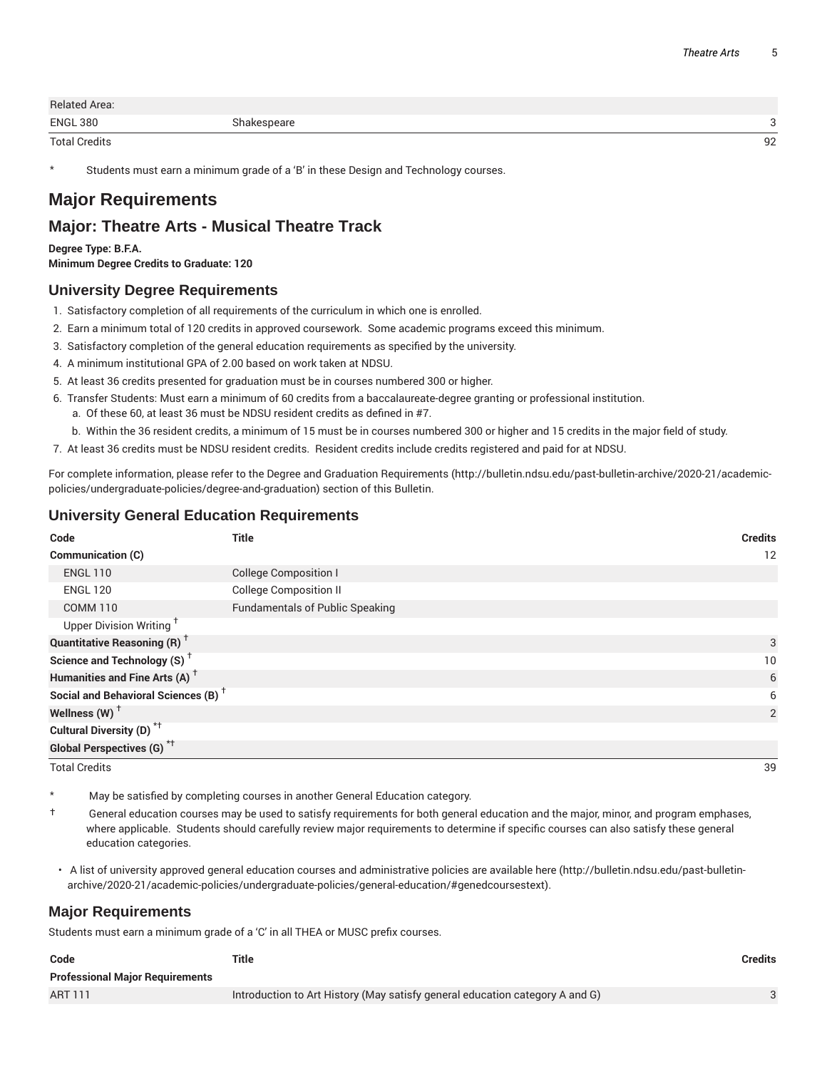| <b>Related Area:</b> |             |    |
|----------------------|-------------|----|
| <b>ENGL 380</b>      | Shakespeare |    |
| <b>Total Credits</b> |             | 92 |

Students must earn a minimum grade of a 'B' in these Design and Technology courses.

# **Major Requirements**

## **Major: Theatre Arts - Musical Theatre Track**

**Degree Type: B.F.A. Minimum Degree Credits to Graduate: 120**

#### **University Degree Requirements**

- 1. Satisfactory completion of all requirements of the curriculum in which one is enrolled.
- 2. Earn a minimum total of 120 credits in approved coursework. Some academic programs exceed this minimum.
- 3. Satisfactory completion of the general education requirements as specified by the university.
- 4. A minimum institutional GPA of 2.00 based on work taken at NDSU.
- 5. At least 36 credits presented for graduation must be in courses numbered 300 or higher.
- 6. Transfer Students: Must earn a minimum of 60 credits from a baccalaureate-degree granting or professional institution. a. Of these 60, at least 36 must be NDSU resident credits as defined in #7.
	- b. Within the 36 resident credits, a minimum of 15 must be in courses numbered 300 or higher and 15 credits in the major field of study.
- 7. At least 36 credits must be NDSU resident credits. Resident credits include credits registered and paid for at NDSU.

For complete information, please refer to the Degree and Graduation Requirements (http://bulletin.ndsu.edu/past-bulletin-archive/2020-21/academicpolicies/undergraduate-policies/degree-and-graduation) section of this Bulletin.

#### **University General Education Requirements**

| Code                                            | <b>Title</b>                           | <b>Credits</b> |
|-------------------------------------------------|----------------------------------------|----------------|
| Communication (C)                               |                                        | 12             |
| <b>ENGL 110</b>                                 | <b>College Composition I</b>           |                |
| <b>ENGL 120</b>                                 | <b>College Composition II</b>          |                |
| <b>COMM 110</b>                                 | <b>Fundamentals of Public Speaking</b> |                |
| Upper Division Writing <sup>T</sup>             |                                        |                |
| <b>Quantitative Reasoning (R)</b> <sup>†</sup>  |                                        | 3              |
| Science and Technology (S) <sup>+</sup>         |                                        | 10             |
| Humanities and Fine Arts (A) <sup>+</sup>       |                                        | 6              |
| Social and Behavioral Sciences (B) <sup>+</sup> |                                        | 6              |
| Wellness $(W)$ <sup>†</sup>                     |                                        | 2              |
| Cultural Diversity (D) <sup>*†</sup>            |                                        |                |
| <b>Global Perspectives (G)<sup>*†</sup></b>     |                                        |                |
| <b>Total Credits</b>                            |                                        | 39             |

May be satisfied by completing courses in another General Education category.

† General education courses may be used to satisfy requirements for both general education and the major, minor, and program emphases, where applicable. Students should carefully review major requirements to determine if specific courses can also satisfy these general education categories.

• A list of university approved general education courses and administrative policies are available here (http://bulletin.ndsu.edu/past-bulletinarchive/2020-21/academic-policies/undergraduate-policies/general-education/#genedcoursestext).

#### **Major Requirements**

Students must earn a minimum grade of a 'C' in all THEA or MUSC prefix courses.

| Code                                   | Title                                                                        | Credits |
|----------------------------------------|------------------------------------------------------------------------------|---------|
| <b>Professional Major Requirements</b> |                                                                              |         |
| ART 111                                | Introduction to Art History (May satisfy general education category A and G) |         |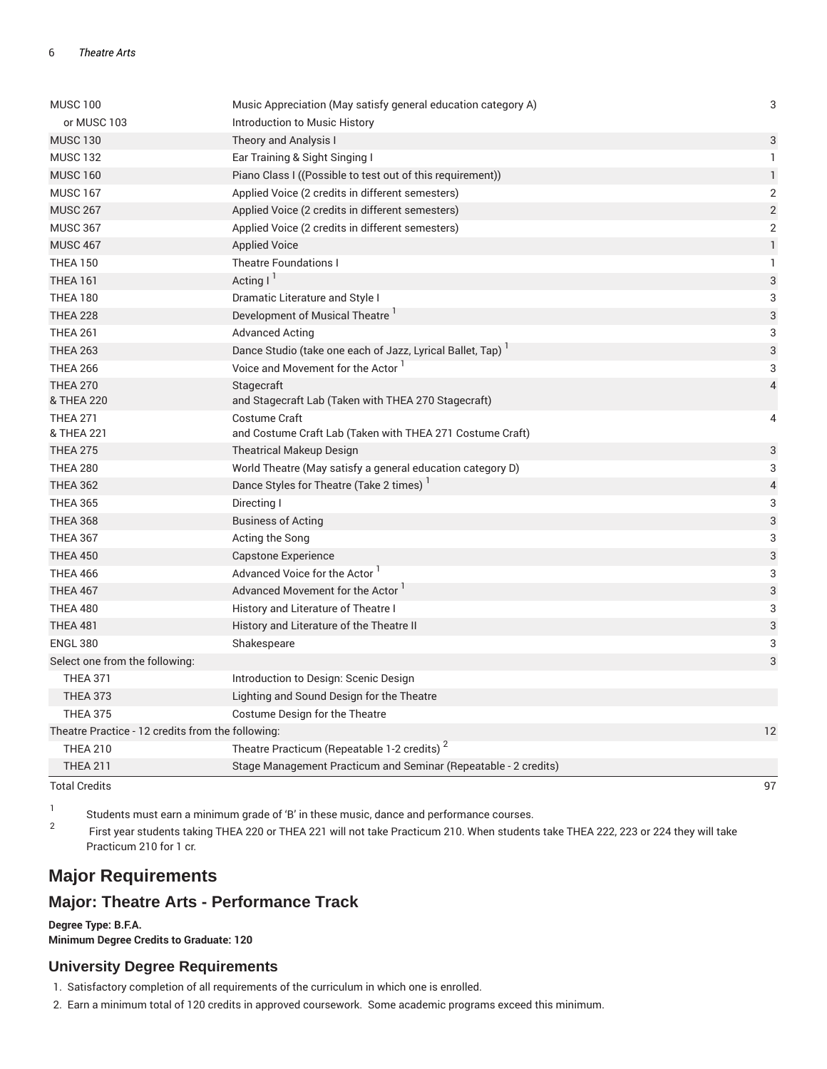| <b>MUSC 100</b>                                   | Music Appreciation (May satisfy general education category A)   | 3              |
|---------------------------------------------------|-----------------------------------------------------------------|----------------|
| or MUSC 103                                       | Introduction to Music History                                   |                |
| <b>MUSC 130</b>                                   | Theory and Analysis I                                           | 3              |
| <b>MUSC 132</b>                                   | Ear Training & Sight Singing I                                  | $\mathbf{1}$   |
| <b>MUSC 160</b>                                   | Piano Class I ((Possible to test out of this requirement))      | $\mathbbm{1}$  |
| <b>MUSC 167</b>                                   | Applied Voice (2 credits in different semesters)                | $\mathbf{2}$   |
| <b>MUSC 267</b>                                   | Applied Voice (2 credits in different semesters)                | $\overline{2}$ |
| <b>MUSC 367</b>                                   | Applied Voice (2 credits in different semesters)                | 2              |
| <b>MUSC 467</b>                                   | <b>Applied Voice</b>                                            | $\mathbf{1}$   |
| <b>THEA 150</b>                                   | <b>Theatre Foundations I</b>                                    | $\mathbf{1}$   |
| <b>THEA 161</b>                                   | Acting $1^1$                                                    | 3              |
| <b>THEA 180</b>                                   | Dramatic Literature and Style I                                 | 3              |
| <b>THEA 228</b>                                   | Development of Musical Theatre <sup>1</sup>                     | 3              |
| <b>THEA 261</b>                                   | <b>Advanced Acting</b>                                          | 3              |
| <b>THEA 263</b>                                   | Dance Studio (take one each of Jazz, Lyrical Ballet, Tap)       | 3              |
| <b>THEA 266</b>                                   | Voice and Movement for the Actor <sup>1</sup>                   | 3              |
| <b>THEA 270</b>                                   | Stagecraft                                                      | $\overline{4}$ |
| & THEA 220                                        | and Stagecraft Lab (Taken with THEA 270 Stagecraft)             |                |
| <b>THEA 271</b>                                   | Costume Craft                                                   | 4              |
| & THEA 221                                        | and Costume Craft Lab (Taken with THEA 271 Costume Craft)       |                |
| <b>THEA 275</b>                                   | <b>Theatrical Makeup Design</b>                                 | 3              |
| <b>THEA 280</b>                                   | World Theatre (May satisfy a general education category D)      | 3              |
| <b>THEA 362</b>                                   | Dance Styles for Theatre (Take 2 times) <sup>1</sup>            | 4              |
| <b>THEA 365</b>                                   | Directing I                                                     | 3              |
| <b>THEA 368</b>                                   | <b>Business of Acting</b>                                       | 3              |
| <b>THEA 367</b>                                   | Acting the Song                                                 | 3              |
| <b>THEA 450</b>                                   | <b>Capstone Experience</b>                                      | 3              |
| <b>THEA 466</b>                                   | Advanced Voice for the Actor <sup>1</sup>                       | 3              |
| <b>THEA 467</b>                                   | Advanced Movement for the Actor '                               | 3              |
| <b>THEA 480</b>                                   | History and Literature of Theatre I                             | 3              |
| <b>THEA 481</b>                                   | History and Literature of the Theatre II                        | 3              |
| <b>ENGL 380</b>                                   | Shakespeare                                                     | 3              |
| Select one from the following:                    |                                                                 | 3              |
| <b>THEA 371</b>                                   | Introduction to Design: Scenic Design                           |                |
| <b>THEA 373</b>                                   | Lighting and Sound Design for the Theatre                       |                |
| <b>THEA 375</b>                                   | Costume Design for the Theatre                                  |                |
| Theatre Practice - 12 credits from the following: |                                                                 | 12             |
| <b>THEA 210</b>                                   | Theatre Practicum (Repeatable 1-2 credits) <sup>2</sup>         |                |
| <b>THEA 211</b>                                   | Stage Management Practicum and Seminar (Repeatable - 2 credits) |                |
| <b>Total Credits</b>                              |                                                                 | 97             |

1 Students must earn a minimum grade of 'B' in these music, dance and performance courses.

2 First year students taking THEA 220 or THEA 221 will not take Practicum 210. When students take THEA 222, 223 or 224 they will take Practicum 210 for 1 cr.

# **Major Requirements**

### **Major: Theatre Arts - Performance Track**

**Degree Type: B.F.A. Minimum Degree Credits to Graduate: 120**

#### **University Degree Requirements**

- 1. Satisfactory completion of all requirements of the curriculum in which one is enrolled.
- 2. Earn a minimum total of 120 credits in approved coursework. Some academic programs exceed this minimum.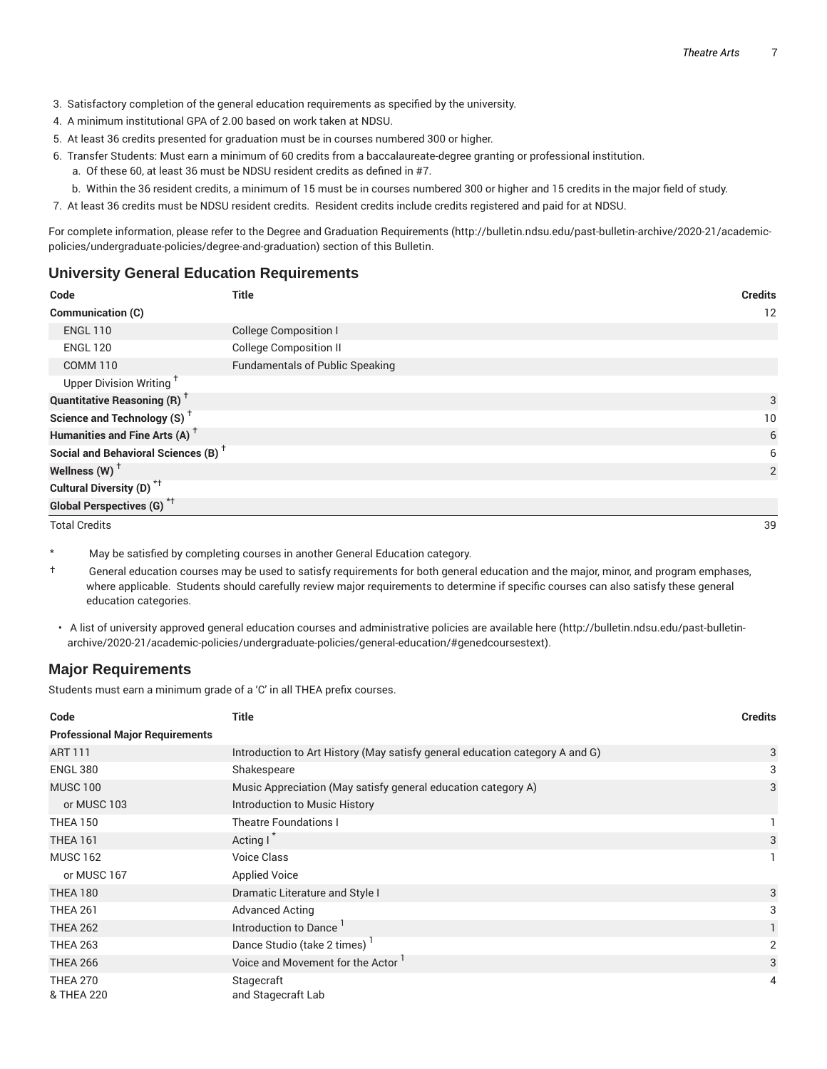- 3. Satisfactory completion of the general education requirements as specified by the university.
- 4. A minimum institutional GPA of 2.00 based on work taken at NDSU.
- 5. At least 36 credits presented for graduation must be in courses numbered 300 or higher.
- 6. Transfer Students: Must earn a minimum of 60 credits from a baccalaureate-degree granting or professional institution.
	- a. Of these 60, at least 36 must be NDSU resident credits as defined in #7.
	- b. Within the 36 resident credits, a minimum of 15 must be in courses numbered 300 or higher and 15 credits in the major field of study.
- 7. At least 36 credits must be NDSU resident credits. Resident credits include credits registered and paid for at NDSU.

For complete information, please refer to the Degree and Graduation Requirements (http://bulletin.ndsu.edu/past-bulletin-archive/2020-21/academicpolicies/undergraduate-policies/degree-and-graduation) section of this Bulletin.

#### **University General Education Requirements**

| Code                                            | <b>Title</b>                           | <b>Credits</b> |
|-------------------------------------------------|----------------------------------------|----------------|
| Communication (C)                               |                                        | 12             |
| <b>ENGL 110</b>                                 | College Composition I                  |                |
| <b>ENGL 120</b>                                 | <b>College Composition II</b>          |                |
| <b>COMM 110</b>                                 | <b>Fundamentals of Public Speaking</b> |                |
| Upper Division Writing <sup>+</sup>             |                                        |                |
| <b>Quantitative Reasoning (R)</b> <sup>†</sup>  |                                        | 3              |
| Science and Technology (S) <sup>+</sup>         |                                        | 10             |
| Humanities and Fine Arts (A) <sup>+</sup>       |                                        | 6              |
| Social and Behavioral Sciences (B) <sup>+</sup> |                                        | 6              |
| Wellness (W) $^{\dagger}$                       |                                        | 2              |
| Cultural Diversity (D) <sup>*†</sup>            |                                        |                |
| Global Perspectives (G) <sup>*†</sup>           |                                        |                |

Total Credits 39

\* May be satisfied by completing courses in another General Education category.

- † General education courses may be used to satisfy requirements for both general education and the major, minor, and program emphases, where applicable. Students should carefully review major requirements to determine if specific courses can also satisfy these general education categories.
- A list of university approved general education courses and administrative policies are available here (http://bulletin.ndsu.edu/past-bulletinarchive/2020-21/academic-policies/undergraduate-policies/general-education/#genedcoursestext).

#### **Major Requirements**

Students must earn a minimum grade of a 'C' in all THEA prefix courses.

| Code                                   | <b>Title</b>                                                                 | <b>Credits</b> |
|----------------------------------------|------------------------------------------------------------------------------|----------------|
| <b>Professional Major Requirements</b> |                                                                              |                |
| <b>ART 111</b>                         | Introduction to Art History (May satisfy general education category A and G) | 3              |
| <b>ENGL 380</b>                        | Shakespeare                                                                  | 3              |
| <b>MUSC 100</b>                        | Music Appreciation (May satisfy general education category A)                | 3              |
| or MUSC 103                            | Introduction to Music History                                                |                |
| <b>THEA 150</b>                        | <b>Theatre Foundations I</b>                                                 |                |
| <b>THEA 161</b>                        | Acting I                                                                     | 3              |
| <b>MUSC 162</b>                        | <b>Voice Class</b>                                                           |                |
| or MUSC 167                            | <b>Applied Voice</b>                                                         |                |
| <b>THEA 180</b>                        | Dramatic Literature and Style I                                              | 3              |
| <b>THEA 261</b>                        | <b>Advanced Acting</b>                                                       | 3              |
| <b>THEA 262</b>                        | Introduction to Dance                                                        |                |
| <b>THEA 263</b>                        | Dance Studio (take 2 times)                                                  | $\overline{2}$ |
| <b>THEA 266</b>                        | Voice and Movement for the Actor '                                           | 3              |
| <b>THEA 270</b>                        | Stagecraft                                                                   | 4              |
| & THEA 220                             | and Stagecraft Lab                                                           |                |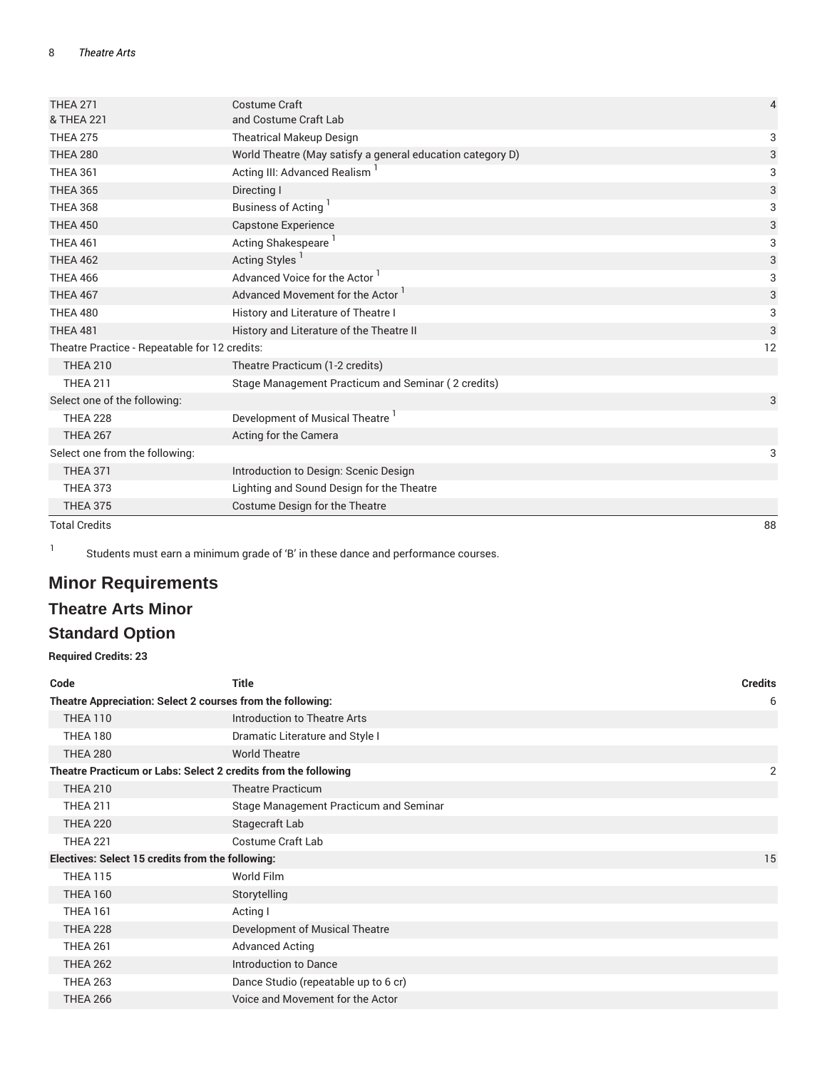| <b>THEA 271</b>                               | <b>Costume Craft</b>                                       | 4  |
|-----------------------------------------------|------------------------------------------------------------|----|
| & THEA 221                                    | and Costume Craft Lab                                      |    |
| <b>THEA 275</b>                               | <b>Theatrical Makeup Design</b>                            | 3  |
| <b>THEA 280</b>                               | World Theatre (May satisfy a general education category D) | 3  |
| <b>THEA 361</b>                               | Acting III: Advanced Realism                               | 3  |
| <b>THEA 365</b>                               | Directing I                                                | 3  |
| <b>THEA 368</b>                               | Business of Acting <sup>1</sup>                            | 3  |
| <b>THEA 450</b>                               | Capstone Experience                                        | 3  |
| <b>THEA 461</b>                               | Acting Shakespeare <sup>1</sup>                            | 3  |
| <b>THEA 462</b>                               | Acting Styles <sup>1</sup>                                 | 3  |
| <b>THEA 466</b>                               | Advanced Voice for the Actor                               | 3  |
| <b>THEA 467</b>                               | Advanced Movement for the Actor                            | 3  |
| <b>THEA 480</b>                               | History and Literature of Theatre I                        | 3  |
| <b>THEA 481</b>                               | History and Literature of the Theatre II                   | 3  |
| Theatre Practice - Repeatable for 12 credits: |                                                            | 12 |
| <b>THEA 210</b>                               | Theatre Practicum (1-2 credits)                            |    |
| <b>THEA 211</b>                               | Stage Management Practicum and Seminar (2 credits)         |    |
| Select one of the following:                  |                                                            | 3  |
| <b>THEA 228</b>                               | Development of Musical Theatre <sup>1</sup>                |    |
| <b>THEA 267</b>                               | Acting for the Camera                                      |    |
| Select one from the following:                |                                                            | 3  |
| <b>THEA 371</b>                               | Introduction to Design: Scenic Design                      |    |
| <b>THEA 373</b>                               | Lighting and Sound Design for the Theatre                  |    |
| <b>THEA 375</b>                               | Costume Design for the Theatre                             |    |
| <b>Total Credits</b>                          |                                                            | 88 |

1

Students must earn a minimum grade of 'B' in these dance and performance courses.

# **Minor Requirements**

## **Theatre Arts Minor**

# **Standard Option**

**Required Credits: 23**

| Code                                                           | <b>Title</b>                           | <b>Credits</b> |
|----------------------------------------------------------------|----------------------------------------|----------------|
| Theatre Appreciation: Select 2 courses from the following:     |                                        |                |
| <b>THEA 110</b>                                                | Introduction to Theatre Arts           |                |
| <b>THEA 180</b>                                                | Dramatic Literature and Style I        |                |
| <b>THEA 280</b>                                                | <b>World Theatre</b>                   |                |
| Theatre Practicum or Labs: Select 2 credits from the following |                                        | 2              |
| <b>THEA 210</b>                                                | <b>Theatre Practicum</b>               |                |
| <b>THEA 211</b>                                                | Stage Management Practicum and Seminar |                |
| <b>THEA 220</b>                                                | Stagecraft Lab                         |                |
| <b>THEA 221</b>                                                | Costume Craft Lab                      |                |
| Electives: Select 15 credits from the following:               |                                        | 15             |
| <b>THEA 115</b>                                                | World Film                             |                |
| <b>THEA 160</b>                                                | Storytelling                           |                |
| <b>THEA 161</b>                                                | Acting I                               |                |
| <b>THEA 228</b>                                                | Development of Musical Theatre         |                |
| <b>THEA 261</b>                                                | <b>Advanced Acting</b>                 |                |
| <b>THEA 262</b>                                                | Introduction to Dance                  |                |
| <b>THEA 263</b>                                                | Dance Studio (repeatable up to 6 cr)   |                |
| <b>THEA 266</b>                                                | Voice and Movement for the Actor       |                |